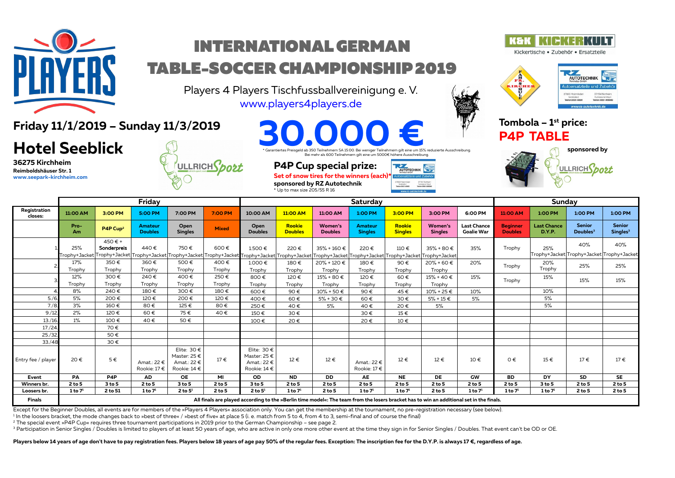

# INTERNATIONAL GERMAN TABLE-SOCCER CHAMPIONSHIP 2019

Players 4 Players Tischfussballvereinigung e. V. [www.players4players.de](http://www.players4players.de/)



Kickertische · Zubehör · Ersatzteile



**Friday 11/1/2019 – Sunday 11/3/2019**

## **Hotel Seeblick**

**36275 Kirchheim Reimboldshäuser Str. 1 [www.seepark-kirchheim.com](http://www.seepark-kirchheim.com/)**



es Preisgeld ab 350 Teilnehmern SA 15:00. Bei weniger Teilnehmern gilt eine um 15% reduzierte Ausschreibung. Bei mehr als 600 Teilnehmern gilt eine um 5000€ höhere Ausschreibung. **30.000 € Tombola – 1<sup>st</sup> price:**<br> **P4P TABLE**<br> **Caranterts Presgeld ab 350 Telinehmern SA ISO0. Bei weniger Telinehmern gilt eine um 15% reduzierte Ausschreibung.** 

AUTOTECHNIK

## **P4P Cup special prize:**

Set of snow tires for the winners (each) **sponsored by RZ Autotechnik**





**sponsored by ULLRICH**Spot

|                         | Friday               |                                                                                                                                          |                             |                                                                |                | Saturday                                                                                                                                                                                                                                      |                                 |                                  |                                  |                                 |                           |                                         | Sunday                            |                                     |                                                  |                                       |
|-------------------------|----------------------|------------------------------------------------------------------------------------------------------------------------------------------|-----------------------------|----------------------------------------------------------------|----------------|-----------------------------------------------------------------------------------------------------------------------------------------------------------------------------------------------------------------------------------------------|---------------------------------|----------------------------------|----------------------------------|---------------------------------|---------------------------|-----------------------------------------|-----------------------------------|-------------------------------------|--------------------------------------------------|---------------------------------------|
| Registration<br>closes: | 11:00 AM             | 3:00 PM                                                                                                                                  | 5:00 PM                     | 7:00 PM                                                        | 7:00 PM        | 10:00 AM                                                                                                                                                                                                                                      | 11:00 AM                        | 11:00 AM                         | 1:00 PM                          | 3:00 PM                         | 3:00 PM                   | 6:00 PM                                 | 11:00 AM                          | 1:00 PM                             | 1:00 PM                                          | 1:00 PM                               |
|                         | Pro-<br>Am           | P4P Cup <sup>2</sup>                                                                                                                     | Amateur<br><b>Doubles</b>   | Open<br><b>Singles</b>                                         | <b>Mixed</b>   | Open<br><b>Doubles</b>                                                                                                                                                                                                                        | <b>Rookie</b><br><b>Doubles</b> | <b>Women's</b><br><b>Doubles</b> | <b>Amateur</b><br><b>Singles</b> | <b>Rookie</b><br><b>Singles</b> | Women's<br><b>Singles</b> | <b>Last Chance</b><br><b>Goalie War</b> | <b>Beginner</b><br><b>Doubles</b> | <b>Last Chance</b><br><b>D.Y.P.</b> | <b>Senior</b><br>Doubles <sup>3</sup>            | <b>Senior</b><br>Singles <sup>3</sup> |
|                         | 25%<br>Trophy+Jacket | 450€+<br>Sonderpreis                                                                                                                     | 440€                        | 750€                                                           | 600€           | $1.500 \in$<br>"rophy+Jacket Trophy+Jacket Trophy+Jacket Trophy+Jacket Trophy+Jacket Trophy+Jacket Trophy+Jacket Trophy+Jacket Trophy+Jacket Trophy+Jacket Trophy+Jacket Trophy+Jacket Trophy+Jacket Trophy+Jacket Trophy+Jacket Trophy+Jacke | 220€                            | 35% + 160 €                      | 220€                             | 110€                            | $35\% + 80 \in$           | 35%                                     | Trophy                            | 25%                                 | 40%<br>Trophy+Jacket Trophy+Jacket Trophy+Jacket | 40%                                   |
|                         | 17%<br>Trophy        | 350€<br>Trophy                                                                                                                           | 360€<br>Trophy              | 500€<br>Trophy                                                 | 400€<br>Trophy | 1.000€<br>Trophy                                                                                                                                                                                                                              | 180€<br>Trophy                  | 20% + 120 €<br>Trophy            | 180€<br>Trophy                   | 90€<br>Trophy                   | 20% + 60 €<br>Trophy      | 20%                                     | Trophy                            | 20%<br>Trophy                       | 25%                                              | 25%                                   |
|                         | 12%<br>Trophy        | 300€<br>Trophy                                                                                                                           | 240€<br>Trophy              | 400€<br>Trophy                                                 | 250€<br>Trophy | 800€<br>Trophy                                                                                                                                                                                                                                | 120€<br>Trophy                  | 15% + 80 €<br>Trophy             | 120€<br>Trophy                   | 60€<br>Trophy                   | $15% + 40 €$<br>Trophy    | 15%                                     | Trophy                            | 15%                                 | 15%                                              | 15%                                   |
|                         | 8%                   | 240€                                                                                                                                     | 180€                        | 300€                                                           | 180€           | 600€                                                                                                                                                                                                                                          | 90€                             | $10\% + 50 \in$                  | 90€                              | 45€                             | $10\% + 25 \in$           | 10%                                     |                                   | 10%                                 |                                                  |                                       |
| 5./6.                   | 5%                   | 200€                                                                                                                                     | 120€                        | 200€                                                           | 120€           | 400€                                                                                                                                                                                                                                          | 60€                             | $5% + 30 €$                      | 60€                              | 30€                             | $5% + 15 \in$             | 5%                                      |                                   | 5%                                  |                                                  |                                       |
| 7./8.                   | 3%                   | 160€                                                                                                                                     | 80€                         | 125€                                                           | 80€            | 250€                                                                                                                                                                                                                                          | 40€                             | 5%                               | 40€                              | 20€                             | 5%                        |                                         |                                   | 5%                                  |                                                  |                                       |
| 9./12.                  | 2%                   | 120€                                                                                                                                     | 60€                         | 75€                                                            | 40€            | 150€                                                                                                                                                                                                                                          | 30€                             |                                  | 30€                              | $15 \in$                        |                           |                                         |                                   |                                     |                                                  |                                       |
| 13./16                  | $1\%$                | 100€                                                                                                                                     | 40€                         | 50€                                                            |                | 100€                                                                                                                                                                                                                                          | 20€                             |                                  | 20€                              | 10€                             |                           |                                         |                                   |                                     |                                                  |                                       |
| 17/24.                  |                      | 70€                                                                                                                                      |                             |                                                                |                |                                                                                                                                                                                                                                               |                                 |                                  |                                  |                                 |                           |                                         |                                   |                                     |                                                  |                                       |
| 25./32.                 |                      | 50€                                                                                                                                      |                             |                                                                |                |                                                                                                                                                                                                                                               |                                 |                                  |                                  |                                 |                           |                                         |                                   |                                     |                                                  |                                       |
| 33/48                   |                      | 30€                                                                                                                                      |                             |                                                                |                |                                                                                                                                                                                                                                               |                                 |                                  |                                  |                                 |                           |                                         |                                   |                                     |                                                  |                                       |
| Entry fee / player      | 20€                  | $5 \in$                                                                                                                                  | Amat.: 22 €<br>Rookie: 17 € | Elite: $30 \in$<br>Master: 25 €<br>Amat.: 22 €<br>Rookie: 14 € | $17 \in$       | Elite: $30 \in$<br>Master: 25 €<br>Amat.: 22 €<br>Rookie: 14 €                                                                                                                                                                                | 12€                             | 12€                              | Amat.: 22 €<br>Rookie: 17€       | 12€                             | 12€                       | 10€                                     | $0 \in$                           | $15 \in$                            | 17€                                              | $17 \in$                              |
| Event                   | PA                   | P <sub>4</sub> P                                                                                                                         | <b>AD</b>                   | <b>OE</b>                                                      | MI             | <b>OD</b>                                                                                                                                                                                                                                     | <b>ND</b>                       | <b>DD</b>                        | AE                               | <b>NE</b>                       | DE                        | GW                                      | <b>BD</b>                         | DY                                  | <b>SD</b>                                        | <b>SE</b>                             |
| Winners br.             | $2$ to 5             | 3 to 5                                                                                                                                   | 2 to 5                      | 3 to 5                                                         | 2 to 5         | 3 to 5                                                                                                                                                                                                                                        | $2$ to 5                        | 2 to 5                           | 2 to 5                           | 2 to 5                          | 2 to 5                    | 2 to 5                                  | 2 to 5                            | 3 to 5                              | 2 to 5                                           | 2 to 5                                |
| Loosers br.             | $1$ to $71$          | 2 to 51                                                                                                                                  | $1$ to $71$                 | $2$ to $51$                                                    | 2 to 5         | $2$ to $51$                                                                                                                                                                                                                                   | $1$ to $71$                     | $2$ to 5                         | $1$ to $71$                      | $1$ to $71$                     | 2 to 5                    | $1$ to $71$                             | $1$ to $71$                       | $1$ to $71$                         | 2 to 5                                           | $2$ to 5                              |
| <b>Finals</b>           |                      | All finals are played according to the »Berlin time model«: The team from the losers bracket has to win an additional set in the finals. |                             |                                                                |                |                                                                                                                                                                                                                                               |                                 |                                  |                                  |                                 |                           |                                         |                                   |                                     |                                                  |                                       |

Except for the Beginner Doubles, all events are for members of the »Players 4 Players« association only. You can get the membership at the tournament, no pre-registration necessary (see below).

1 In the loosers bracket, the mode changes back to »best of three« / »best of five« at place 5 (i. e. match from 5 to 4, from 4 to 3, semi-final and of course the final)

2 The special event »P4P Cup« requires three tournament participations in 2019 prior to the German Championship – see page 2.

<sup>3</sup> Participation in Senior Singles / Doubles is limited to players of at least 50 years of age, who are active in only one more other event at the time they sign in for Senior Singles / Doubles. That event can't be OD or

Players below 14 years of age don't have to pay registration fees. Players below 18 years of age pay 50% of the regular fees. Exception: The inscription fee for the D.Y.P. is always 17 €, regardless of age.